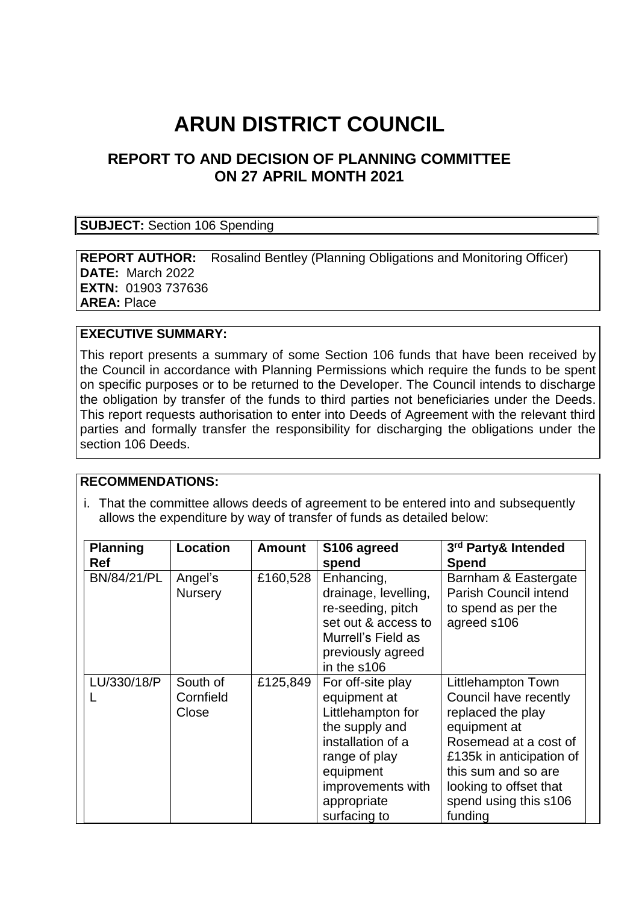# **ARUN DISTRICT COUNCIL**

# **REPORT TO AND DECISION OF PLANNING COMMITTEE ON 27 APRIL MONTH 2021**

#### **SUBJECT:** Section 106 Spending

**REPORT AUTHOR:** Rosalind Bentley (Planning Obligations and Monitoring Officer) **DATE:** March 2022 **EXTN:** 01903 737636 **AREA:** Place

#### **EXECUTIVE SUMMARY:**

This report presents a summary of some Section 106 funds that have been received by the Council in accordance with Planning Permissions which require the funds to be spent on specific purposes or to be returned to the Developer. The Council intends to discharge the obligation by transfer of the funds to third parties not beneficiaries under the Deeds. This report requests authorisation to enter into Deeds of Agreement with the relevant third parties and formally transfer the responsibility for discharging the obligations under the section 106 Deeds.

#### **RECOMMENDATIONS:**

i. That the committee allows deeds of agreement to be entered into and subsequently allows the expenditure by way of transfer of funds as detailed below:

| <b>Planning</b><br><b>Ref</b> | <b>Location</b>                | <b>Amount</b> | S106 agreed<br>spend                                                                                                                                                            | 3rd Party& Intended<br><b>Spend</b>                                                                                                                                                                                        |
|-------------------------------|--------------------------------|---------------|---------------------------------------------------------------------------------------------------------------------------------------------------------------------------------|----------------------------------------------------------------------------------------------------------------------------------------------------------------------------------------------------------------------------|
| BN/84/21/PL                   | Angel's<br><b>Nursery</b>      | £160,528      | Enhancing,<br>drainage, levelling,<br>re-seeding, pitch<br>set out & access to<br>Murrell's Field as<br>previously agreed<br>in the s106                                        | Barnham & Eastergate<br>Parish Council intend<br>to spend as per the<br>agreed s106                                                                                                                                        |
| LU/330/18/P                   | South of<br>Cornfield<br>Close | £125,849      | For off-site play<br>equipment at<br>Littlehampton for<br>the supply and<br>installation of a<br>range of play<br>equipment<br>improvements with<br>appropriate<br>surfacing to | Littlehampton Town<br>Council have recently<br>replaced the play<br>equipment at<br>Rosemead at a cost of<br>£135k in anticipation of<br>this sum and so are<br>looking to offset that<br>spend using this s106<br>funding |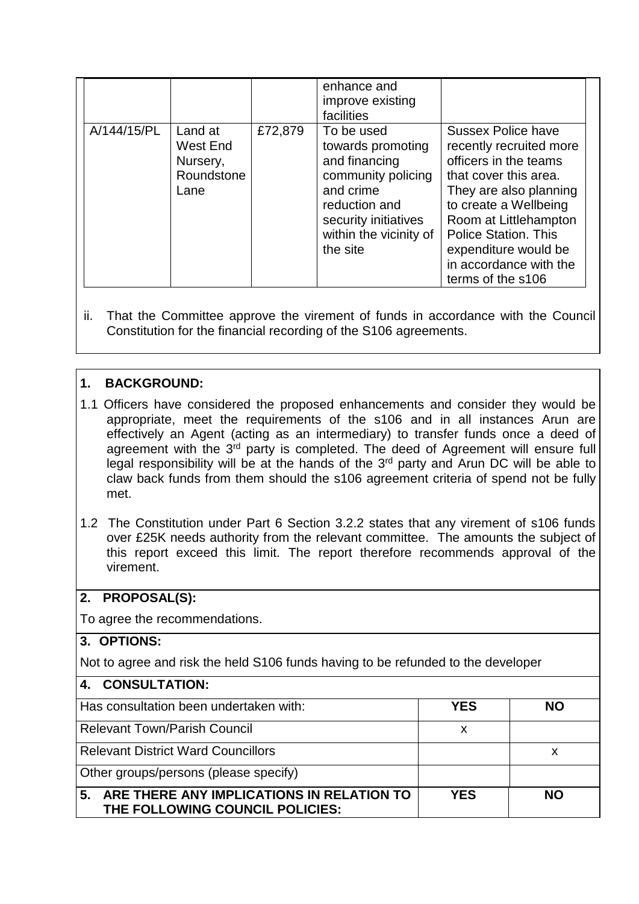|             |                                                       |         | enhance and<br>improve existing<br>facilities                                                                                                                      |                                                                                                                                                                                                                                                                                          |  |
|-------------|-------------------------------------------------------|---------|--------------------------------------------------------------------------------------------------------------------------------------------------------------------|------------------------------------------------------------------------------------------------------------------------------------------------------------------------------------------------------------------------------------------------------------------------------------------|--|
| A/144/15/PL | Land at<br>West End<br>Nursery,<br>Roundstone<br>Lane | £72,879 | To be used<br>towards promoting<br>and financing<br>community policing<br>and crime<br>reduction and<br>security initiatives<br>within the vicinity of<br>the site | <b>Sussex Police have</b><br>recently recruited more<br>officers in the teams<br>that cover this area.<br>They are also planning<br>to create a Wellbeing<br>Room at Littlehampton<br><b>Police Station. This</b><br>expenditure would be<br>in accordance with the<br>terms of the s106 |  |

ii. That the Committee approve the virement of funds in accordance with the Council Constitution for the financial recording of the S106 agreements.

## **1. BACKGROUND:**

- 1.1 Officers have considered the proposed enhancements and consider they would be appropriate, meet the requirements of the s106 and in all instances Arun are effectively an Agent (acting as an intermediary) to transfer funds once a deed of agreement with the 3<sup>rd</sup> party is completed. The deed of Agreement will ensure full legal responsibility will be at the hands of the 3<sup>rd</sup> party and Arun DC will be able to claw back funds from them should the s106 agreement criteria of spend not be fully met.
- 1.2 The Constitution under Part 6 Section 3.2.2 states that any virement of s106 funds over £25K needs authority from the relevant committee. The amounts the subject of this report exceed this limit. The report therefore recommends approval of the virement.

## **2. PROPOSAL(S):**

To agree the recommendations.

#### **3. OPTIONS:**

Not to agree and risk the held S106 funds having to be refunded to the developer

| 4. CONSULTATION:                                                                   |            |           |  |  |  |
|------------------------------------------------------------------------------------|------------|-----------|--|--|--|
| Has consultation been undertaken with:                                             | <b>YES</b> | <b>NO</b> |  |  |  |
| <b>Relevant Town/Parish Council</b>                                                | x          |           |  |  |  |
| <b>Relevant District Ward Councillors</b>                                          |            | х         |  |  |  |
| Other groups/persons (please specify)                                              |            |           |  |  |  |
| 5.<br>ARE THERE ANY IMPLICATIONS IN RELATION TO<br>THE FOLLOWING COUNCIL POLICIES: | <b>YES</b> | <b>NO</b> |  |  |  |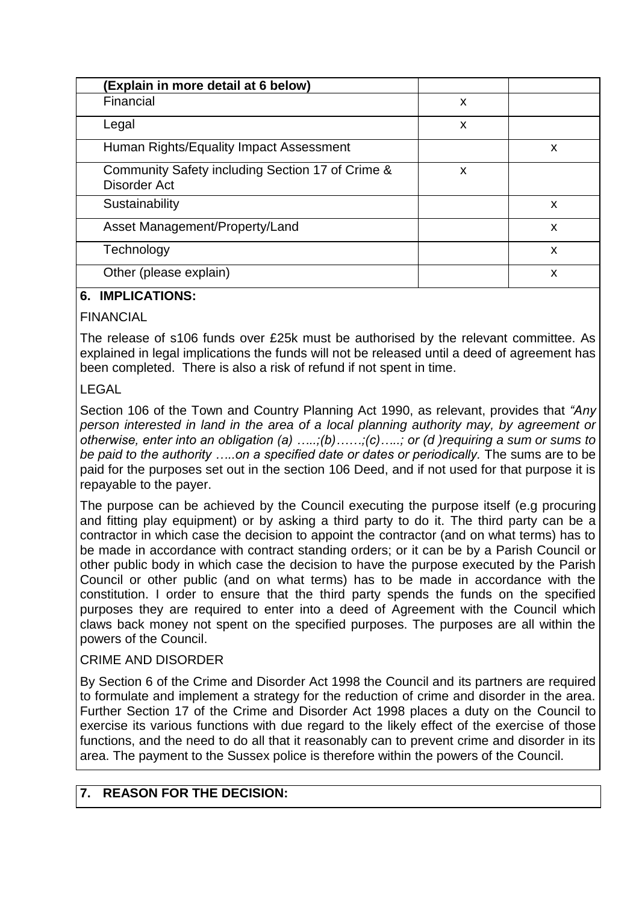| (Explain in more detail at 6 below)                              |   |   |
|------------------------------------------------------------------|---|---|
| Financial                                                        | X |   |
| Legal                                                            | x |   |
| Human Rights/Equality Impact Assessment                          |   | X |
| Community Safety including Section 17 of Crime &<br>Disorder Act | X |   |
| Sustainability                                                   |   | X |
| Asset Management/Property/Land                                   |   | X |
| Technology                                                       |   | X |
| Other (please explain)                                           |   | x |

## **6. IMPLICATIONS:**

#### **FINANCIAL**

The release of s106 funds over £25k must be authorised by the relevant committee. As explained in legal implications the funds will not be released until a deed of agreement has been completed. There is also a risk of refund if not spent in time.

## LEGAL

Section 106 of the Town and Country Planning Act 1990, as relevant, provides that *"Any person interested in land in the area of a local planning authority may, by agreement or otherwise, enter into an obligation (a) …..;(b)……;(c)…..; or (d )requiring a sum or sums to be paid to the authority …..on a specified date or dates or periodically.* The sums are to be paid for the purposes set out in the section 106 Deed, and if not used for that purpose it is repayable to the payer.

The purpose can be achieved by the Council executing the purpose itself (e.g procuring and fitting play equipment) or by asking a third party to do it. The third party can be a contractor in which case the decision to appoint the contractor (and on what terms) has to be made in accordance with contract standing orders; or it can be by a Parish Council or other public body in which case the decision to have the purpose executed by the Parish Council or other public (and on what terms) has to be made in accordance with the constitution. I order to ensure that the third party spends the funds on the specified purposes they are required to enter into a deed of Agreement with the Council which claws back money not spent on the specified purposes. The purposes are all within the powers of the Council.

#### CRIME AND DISORDER

By Section 6 of the Crime and Disorder Act 1998 the Council and its partners are required to formulate and implement a strategy for the reduction of crime and disorder in the area. Further Section 17 of the Crime and Disorder Act 1998 places a duty on the Council to exercise its various functions with due regard to the likely effect of the exercise of those functions, and the need to do all that it reasonably can to prevent crime and disorder in its area. The payment to the Sussex police is therefore within the powers of the Council.

## **7. REASON FOR THE DECISION:**